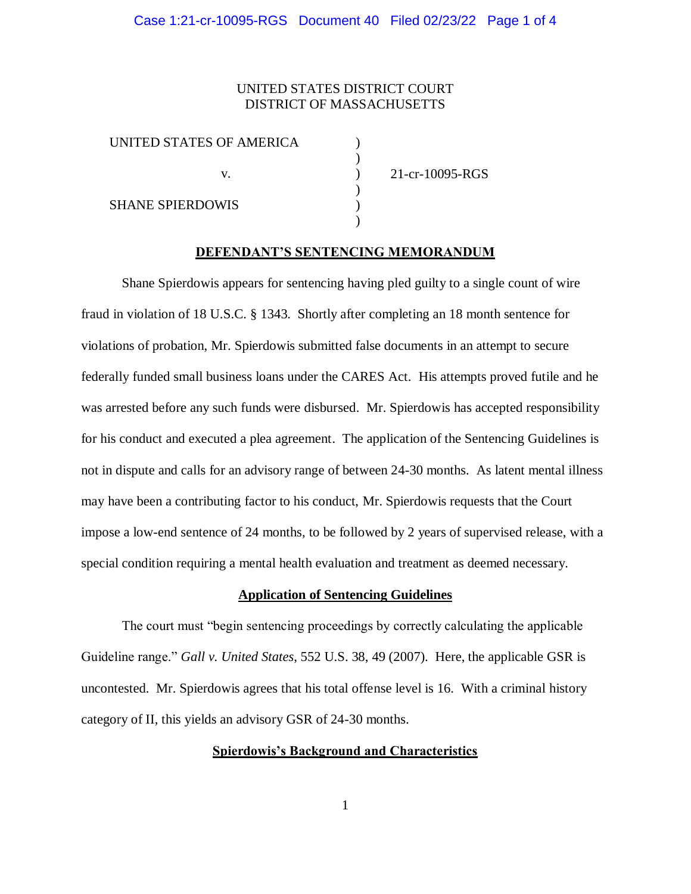# UNITED STATES DISTRICT COURT DISTRICT OF MASSACHUSETTS

) ) ) ) ) )

| UNITED STATES OF AMERICA |    |
|--------------------------|----|
|                          | V. |
| <b>SHANE SPIERDOWIS</b>  |    |

21-cr-10095-RGS

#### **DEFENDANT'S SENTENCING MEMORANDUM**

Shane Spierdowis appears for sentencing having pled guilty to a single count of wire fraud in violation of 18 U.S.C. § 1343. Shortly after completing an 18 month sentence for violations of probation, Mr. Spierdowis submitted false documents in an attempt to secure federally funded small business loans under the CARES Act. His attempts proved futile and he was arrested before any such funds were disbursed. Mr. Spierdowis has accepted responsibility for his conduct and executed a plea agreement. The application of the Sentencing Guidelines is not in dispute and calls for an advisory range of between 24-30 months. As latent mental illness may have been a contributing factor to his conduct, Mr. Spierdowis requests that the Court impose a low-end sentence of 24 months, to be followed by 2 years of supervised release, with a special condition requiring a mental health evaluation and treatment as deemed necessary.

#### **Application of Sentencing Guidelines**

The court must "begin sentencing proceedings by correctly calculating the applicable Guideline range." *Gall v. United States*, 552 U.S. 38, 49 (2007). Here, the applicable GSR is uncontested. Mr. Spierdowis agrees that his total offense level is 16. With a criminal history category of II, this yields an advisory GSR of 24-30 months.

### **Spierdowis's Background and Characteristics**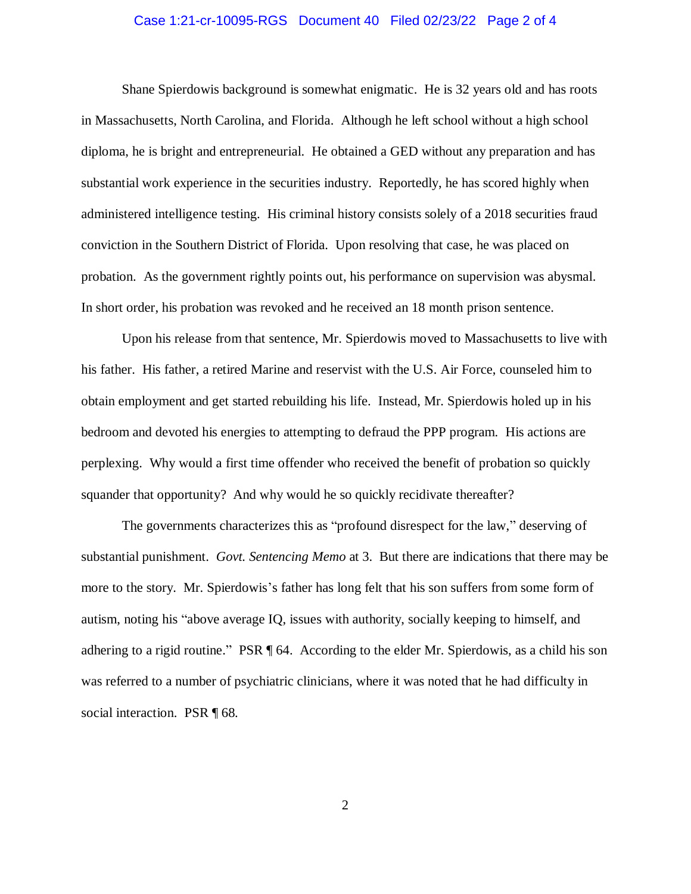### Case 1:21-cr-10095-RGS Document 40 Filed 02/23/22 Page 2 of 4

Shane Spierdowis background is somewhat enigmatic. He is 32 years old and has roots in Massachusetts, North Carolina, and Florida. Although he left school without a high school diploma, he is bright and entrepreneurial. He obtained a GED without any preparation and has substantial work experience in the securities industry. Reportedly, he has scored highly when administered intelligence testing. His criminal history consists solely of a 2018 securities fraud conviction in the Southern District of Florida. Upon resolving that case, he was placed on probation. As the government rightly points out, his performance on supervision was abysmal. In short order, his probation was revoked and he received an 18 month prison sentence.

Upon his release from that sentence, Mr. Spierdowis moved to Massachusetts to live with his father. His father, a retired Marine and reservist with the U.S. Air Force, counseled him to obtain employment and get started rebuilding his life. Instead, Mr. Spierdowis holed up in his bedroom and devoted his energies to attempting to defraud the PPP program. His actions are perplexing. Why would a first time offender who received the benefit of probation so quickly squander that opportunity? And why would he so quickly recidivate thereafter?

The governments characterizes this as "profound disrespect for the law," deserving of substantial punishment. *Govt. Sentencing Memo* at 3. But there are indications that there may be more to the story. Mr. Spierdowis's father has long felt that his son suffers from some form of autism, noting his "above average IQ, issues with authority, socially keeping to himself, and adhering to a rigid routine." PSR ¶ 64. According to the elder Mr. Spierdowis, as a child his son was referred to a number of psychiatric clinicians, where it was noted that he had difficulty in social interaction. PSR  $\P$  68.

2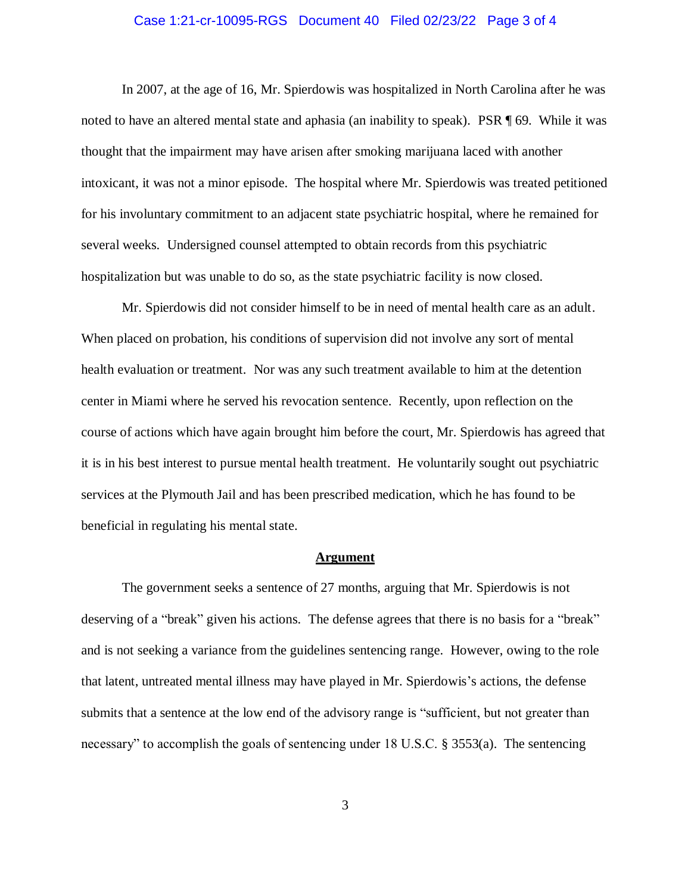### Case 1:21-cr-10095-RGS Document 40 Filed 02/23/22 Page 3 of 4

In 2007, at the age of 16, Mr. Spierdowis was hospitalized in North Carolina after he was noted to have an altered mental state and aphasia (an inability to speak). PSR ¶ 69. While it was thought that the impairment may have arisen after smoking marijuana laced with another intoxicant, it was not a minor episode. The hospital where Mr. Spierdowis was treated petitioned for his involuntary commitment to an adjacent state psychiatric hospital, where he remained for several weeks. Undersigned counsel attempted to obtain records from this psychiatric hospitalization but was unable to do so, as the state psychiatric facility is now closed.

Mr. Spierdowis did not consider himself to be in need of mental health care as an adult. When placed on probation, his conditions of supervision did not involve any sort of mental health evaluation or treatment. Nor was any such treatment available to him at the detention center in Miami where he served his revocation sentence. Recently, upon reflection on the course of actions which have again brought him before the court, Mr. Spierdowis has agreed that it is in his best interest to pursue mental health treatment. He voluntarily sought out psychiatric services at the Plymouth Jail and has been prescribed medication, which he has found to be beneficial in regulating his mental state.

#### **Argument**

The government seeks a sentence of 27 months, arguing that Mr. Spierdowis is not deserving of a "break" given his actions. The defense agrees that there is no basis for a "break" and is not seeking a variance from the guidelines sentencing range. However, owing to the role that latent, untreated mental illness may have played in Mr. Spierdowis's actions, the defense submits that a sentence at the low end of the advisory range is "sufficient, but not greater than necessary" to accomplish the goals of sentencing under 18 U.S.C. § 3553(a). The sentencing